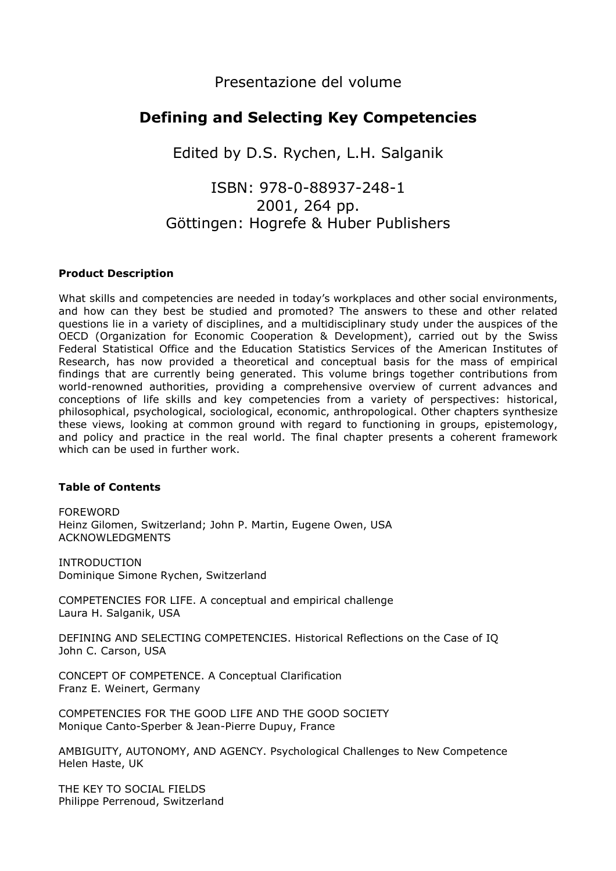### Presentazione del volume

## Defining and Selecting Key Competencies

Edited by D.S. Rychen, L.H. Salganik

# ISBN: 978-0-88937-248-1 2001, 264 pp. Göttingen: Hogrefe & Huber Publishers

#### Product Description

What skills and competencies are needed in today's workplaces and other social environments, and how can they best be studied and promoted? The answers to these and other related questions lie in a variety of disciplines, and a multidisciplinary study under the auspices of the OECD (Organization for Economic Cooperation & Development), carried out by the Swiss Federal Statistical Office and the Education Statistics Services of the American Institutes of Research, has now provided a theoretical and conceptual basis for the mass of empirical findings that are currently being generated. This volume brings together contributions from world-renowned authorities, providing a comprehensive overview of current advances and conceptions of life skills and key competencies from a variety of perspectives: historical, philosophical, psychological, sociological, economic, anthropological. Other chapters synthesize these views, looking at common ground with regard to functioning in groups, epistemology, and policy and practice in the real world. The final chapter presents a coherent framework which can be used in further work.

#### Table of Contents

FOREWORD Heinz Gilomen, Switzerland; John P. Martin, Eugene Owen, USA ACKNOWLEDGMENTS

INTRODUCTION Dominique Simone Rychen, Switzerland

COMPETENCIES FOR LIFE. A conceptual and empirical challenge Laura H. Salganik, USA

DEFINING AND SELECTING COMPETENCIES. Historical Reflections on the Case of IQ John C. Carson, USA

CONCEPT OF COMPETENCE. A Conceptual Clarification Franz E. Weinert, Germany

COMPETENCIES FOR THE GOOD LIFE AND THE GOOD SOCIETY Monique Canto-Sperber & Jean-Pierre Dupuy, France

AMBIGUITY, AUTONOMY, AND AGENCY. Psychological Challenges to New Competence Helen Haste, UK

THE KEY TO SOCIAL FIELDS Philippe Perrenoud, Switzerland